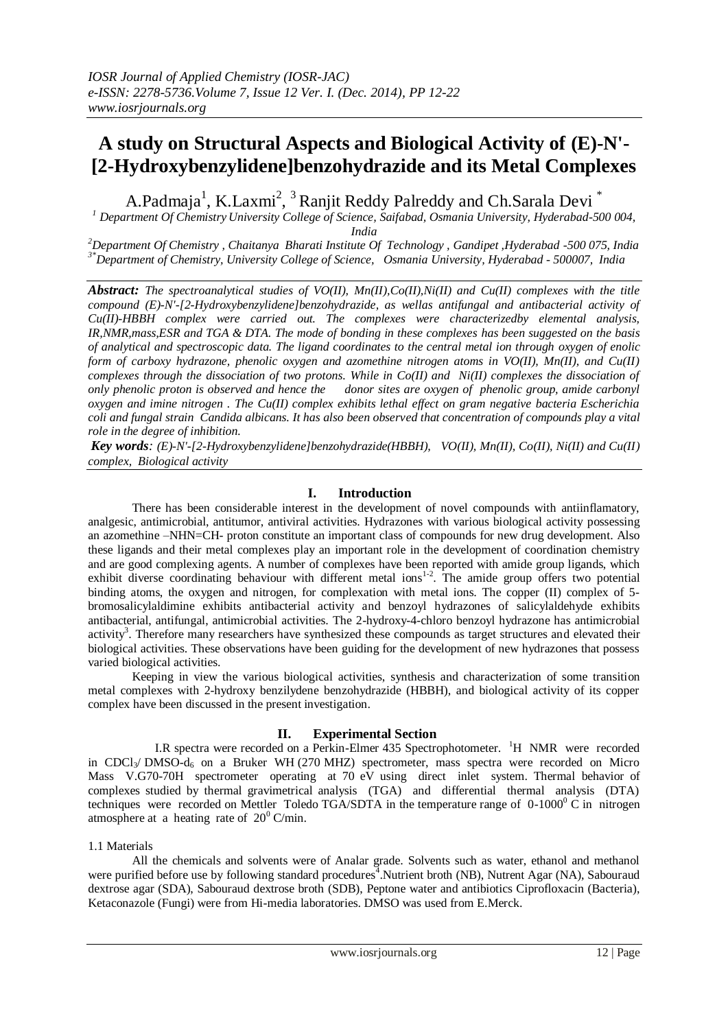# **A study on Structural Aspects and Biological Activity of (E)-N'- [2-Hydroxybenzylidene]benzohydrazide and its Metal Complexes**

A.Padmaja<sup>1</sup>, K.Laxmi<sup>2</sup>, <sup>3</sup> Ranjit Reddy Palreddy and Ch.Sarala Devi<sup>\*</sup>

*<sup>1</sup> Department Of Chemistry University College of Science, Saifabad, Osmania University, Hyderabad-500 004, India*

*<sup>2</sup>Department Of Chemistry , Chaitanya Bharati Institute Of Technology , Gandipet ,Hyderabad -500 075, India 3\*Department of Chemistry, University College of Science, Osmania University, Hyderabad - 500007, India*

*Abstract: The spectroanalytical studies of VO(II), Mn(II),Co(II),Ni(II) and Cu(II) complexes with the title compound (E)-N'-[2-Hydroxybenzylidene]benzohydrazide, as wellas antifungal and antibacterial activity of Cu(II)-HBBH complex were carried out. The complexes were characterizedby elemental analysis, IR,NMR,mass,ESR and TGA & DTA. The mode of bonding in these complexes has been suggested on the basis of analytical and spectroscopic data. The ligand coordinates to the central metal ion through oxygen of enolic form of carboxy hydrazone, phenolic oxygen and azomethine nitrogen atoms in VO(II), Mn(II), and Cu(II) complexes through the dissociation of two protons. While in Co(II) and Ni(II) complexes the dissociation of only phenolic proton is observed and hence the donor sites are oxygen of phenolic group, amide carbonyl oxygen and imine nitrogen . The Cu(II) complex exhibits lethal effect on gram negative bacteria Escherichia coli and fungal strain Candida albicans. It has also been observed that concentration of compounds play a vital role in the degree of inhibition.*

*Key words: (E)-N'-[2-Hydroxybenzylidene]benzohydrazide(HBBH), VO(II), Mn(II), Co(II), Ni(II) and Cu(II) complex, Biological activity*

## **I. Introduction**

There has been considerable interest in the development of novel compounds with antiinflamatory, analgesic, antimicrobial, antitumor, antiviral activities. Hydrazones with various biological activity possessing an azomethine –NHN=CH- proton constitute an important class of compounds for new drug development. Also these ligands and their metal complexes play an important role in the development of coordination chemistry and are good complexing agents. A number of complexes have been reported with amide group ligands, which exhibit diverse coordinating behaviour with different metal  $ions<sup>1-2</sup>$ . The amide group offers two potential binding atoms, the oxygen and nitrogen, for complexation with metal ions. The copper (II) complex of 5 bromosalicylaldimine exhibits antibacterial activity and benzoyl hydrazones of salicylaldehyde exhibits antibacterial, antifungal, antimicrobial activities. The 2-hydroxy-4-chloro benzoyl hydrazone has antimicrobial activity<sup>3</sup>. Therefore many researchers have synthesized these compounds as target structures and elevated their biological activities. These observations have been guiding for the development of new hydrazones that possess varied biological activities.

Keeping in view the various biological activities, synthesis and characterization of some transition metal complexes with 2-hydroxy benzilydene benzohydrazide (HBBH), and biological activity of its copper complex have been discussed in the present investigation.

## **II. Experimental Section**

I.R spectra were recorded on a Perkin-Elmer 435 Spectrophotometer. <sup>1</sup>H NMR were recorded in CDCl<sub>3</sub>/ DMSO-d<sub>6</sub> on a Bruker WH (270 MHZ) spectrometer, mass spectra were recorded on Micro Mass V.G70-70H spectrometer operating at 70 eV using direct inlet system. Thermal behavior of complexes studied by thermal gravimetrical analysis (TGA) and differential thermal analysis (DTA) techniques were recorded on Mettler Toledo TGA/SDTA in the temperature range of  $0-1000^\circ$  C in nitrogen atmosphere at a heating rate of  $20^0$  C/min.

### 1.1 Materials

All the chemicals and solvents were of Analar grade. Solvents such as water, ethanol and methanol were purified before use by following standard procedures<sup>4</sup>.Nutrient broth (NB), Nutrent Agar (NA), Sabouraud dextrose agar (SDA), Sabouraud dextrose broth (SDB), Peptone water and antibiotics Ciprofloxacin (Bacteria), Ketaconazole (Fungi) were from Hi-media laboratories. DMSO was used from E.Merck.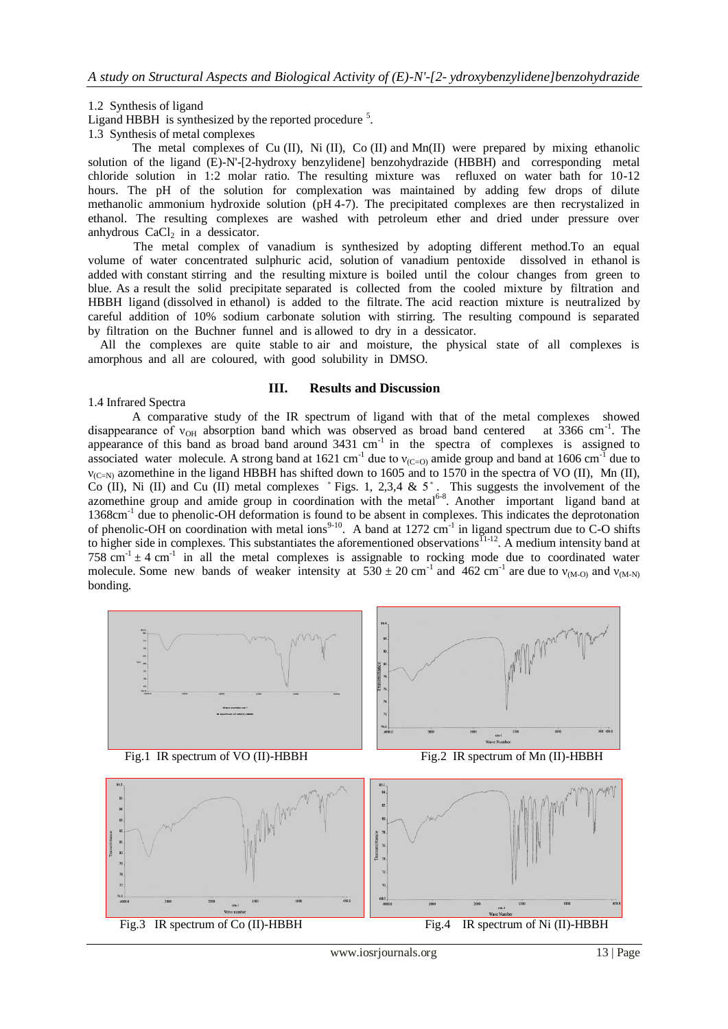#### 1.2 Synthesis of ligand

Ligand HBBH is synthesized by the reported procedure  $5$ .

1.3 Synthesis of metal complexes

The metal complexes of Cu (II), Ni (II), Co (II) and Mn(II) were prepared by mixing ethanolic solution of the ligand (E)-N'-[2-hydroxy benzylidene] benzohydrazide (HBBH) and corresponding metal chloride solution in 1:2 molar ratio. The resulting mixture was refluxed on water bath for 10-12 hours. The pH of the solution for complexation was maintained by adding few drops of dilute methanolic ammonium hydroxide solution (pH 4-7). The precipitated complexes are then recrystalized in ethanol. The resulting complexes are washed with petroleum ether and dried under pressure over anhydrous  $CaCl<sub>2</sub>$  in a dessicator.

 The metal complex of vanadium is synthesized by adopting different method.To an equal volume of water concentrated sulphuric acid, solution of vanadium pentoxide dissolved in ethanol is added with constant stirring and the resulting mixture is boiled until the colour changes from green to blue. As a result the solid precipitate separated is collected from the cooled mixture by filtration and HBBH ligand (dissolved in ethanol) is added to the filtrate. The acid reaction mixture is neutralized by careful addition of 10% sodium carbonate solution with stirring. The resulting compound is separated by filtration on the Buchner funnel and is allowed to dry in a dessicator.

 All the complexes are quite stable to air and moisture, the physical state of all complexes is amorphous and all are coloured, with good solubility in DMSO.

### **III. Results and Discussion**

#### 1.4 Infrared Spectra

A comparative study of the IR spectrum of ligand with that of the metal complexes showed disappearance of  $v_{OH}$  absorption band which was observed as broad band centered at 3366 cm<sup>-1</sup>. The appearance of this band as broad band around  $3431 \text{ cm}^{-1}$  in the spectra of complexes is assigned to associated water molecule. A strong band at 1621 cm<sup>-1</sup> due to  $v_{(C=0)}$  amide group and band at 1606 cm<sup>-1</sup> due to  $v_{(C=N)}$  azomethine in the ligand HBBH has shifted down to 1605 and to 1570 in the spectra of VO (II), Mn (II), Co (II), Ni (II) and Cu (II) metal complexes  $\degree$  Figs. 1, 2,3,4 & 5 $\degree$ . This suggests the involvement of the azomethine group and amide group in coordination with the metal<sup>6-8</sup>. Another important ligand band at 1368cm<sup>-1</sup> due to phenolic-OH deformation is found to be absent in complexes. This indicates the deprotonation of phenolic-OH on coordination with metal ions<sup>9-10</sup>. A band at 1272 cm<sup>-1</sup> in ligand spectrum due to C-O shifts to higher side in complexes. This substantiates the aforementioned observations<sup>11-12</sup>. A medium intensity band at 758 cm<sup>-1</sup>  $\pm$  4 cm<sup>-1</sup> in all the metal complexes is assignable to rocking mode due to coordinated water molecule. Some new bands of weaker intensity at  $530 \pm 20$  cm<sup>-1</sup> and  $462$  cm<sup>-1</sup> are due to  $v_{(M-0)}$  and  $v_{(M-N)}$ bonding.



Fig.3 IR spectrum of Co (II)-HBBH Fig.4 IR spectrum of Ni (II)-HBBH

www.iosrjournals.org 13 | Page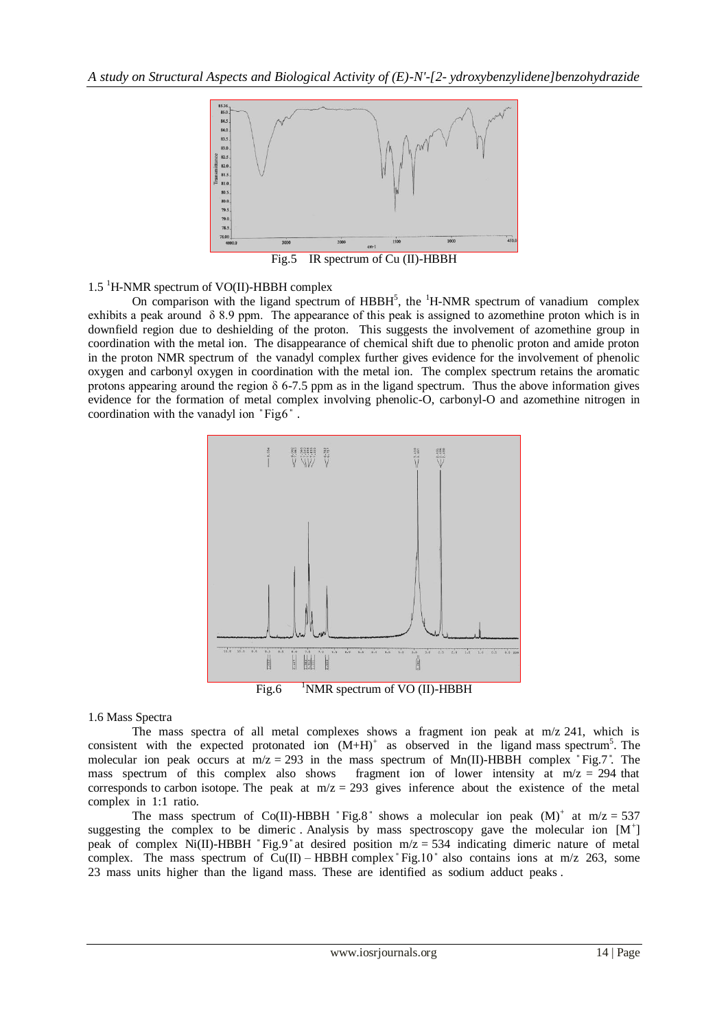

Fig.5 IR spectrum of Cu (II)-HBBH

1.5 <sup>1</sup>H-NMR spectrum of VO(II)-HBBH complex

On comparison with the ligand spectrum of  $HBBH<sup>5</sup>$ , the  $<sup>1</sup>H-NMR$  spectrum of vanadium complex</sup> exhibits a peak around δ 8.9 ppm. The appearance of this peak is assigned to azomethine proton which is in downfield region due to deshielding of the proton. This suggests the involvement of azomethine group in coordination with the metal ion. The disappearance of chemical shift due to phenolic proton and amide proton in the proton NMR spectrum of the vanadyl complex further gives evidence for the involvement of phenolic oxygen and carbonyl oxygen in coordination with the metal ion. The complex spectrum retains the aromatic protons appearing around the region  $\delta$  6-7.5 ppm as in the ligand spectrum. Thus the above information gives evidence for the formation of metal complex involving phenolic-O, carbonyl-O and azomethine nitrogen in coordination with the vanadyl ion "Fig.6".



## 1.6 Mass Spectra

The mass spectra of all metal complexes shows a fragment ion peak at m/z 241, which is consistent with the expected protonated ion  $(M+H)^+$  as observed in the ligand mass spectrum<sup>5</sup>. The molecular ion peak occurs at  $m/z = 293$  in the mass spectrum of Mn(II)-HBBH complex "Fig.7". The mass spectrum of this complex also shows fragment ion of lower intensity at  $m/z = 294$  that corresponds to carbon isotope. The peak at  $m/z = 293$  gives inference about the existence of the metal complex in 1:1 ratio.

The mass spectrum of Co(II)-HBBH "Fig.8" shows a molecular ion peak  $(M)^+$  at m/z = 537 suggesting the complex to be dimeric Analysis by mass spectroscopy gave the molecular ion  $[M^+]$ peak of complex Ni(II)-HBBH "Fig.9" at desired position  $m/z = 534$  indicating dimeric nature of metal complex. The mass spectrum of  $Cu(II) - HBBH$  complex  $Fig.10$  also contains ions at m/z 263, some 23 mass units higher than the ligand mass. These are identified as sodium adduct peaks .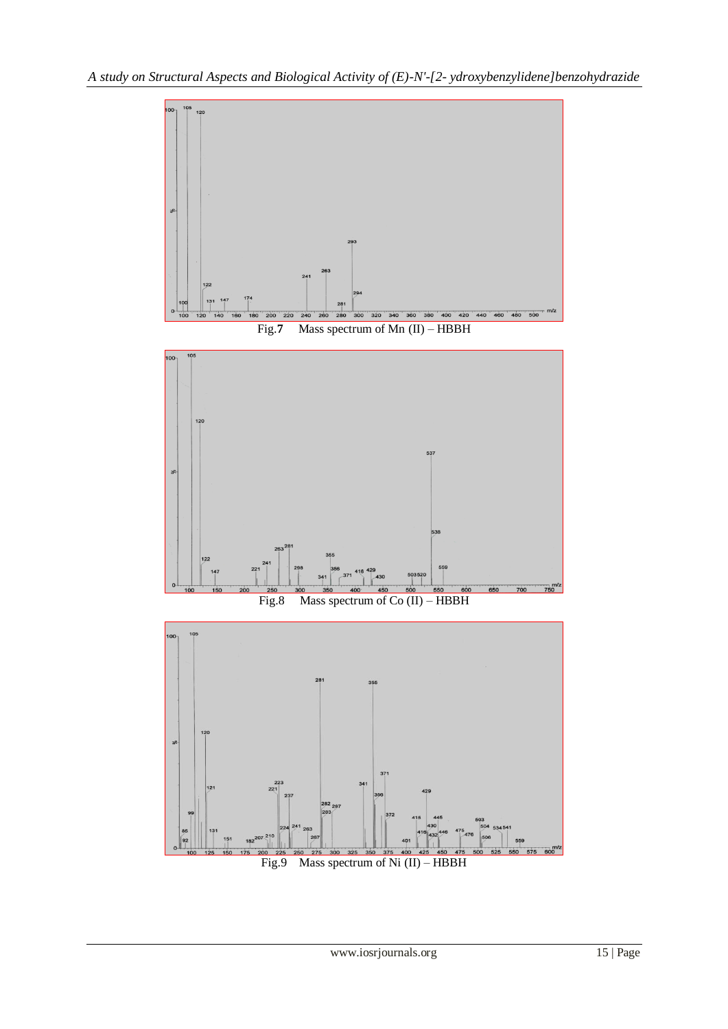

www.iosrjournals.org 15 | Page

415

400

559

Fig.9 Mass spectrum of Ni (II) – HBBH

 $\begin{array}{c} 22 \\ 221 \end{array}$ 

121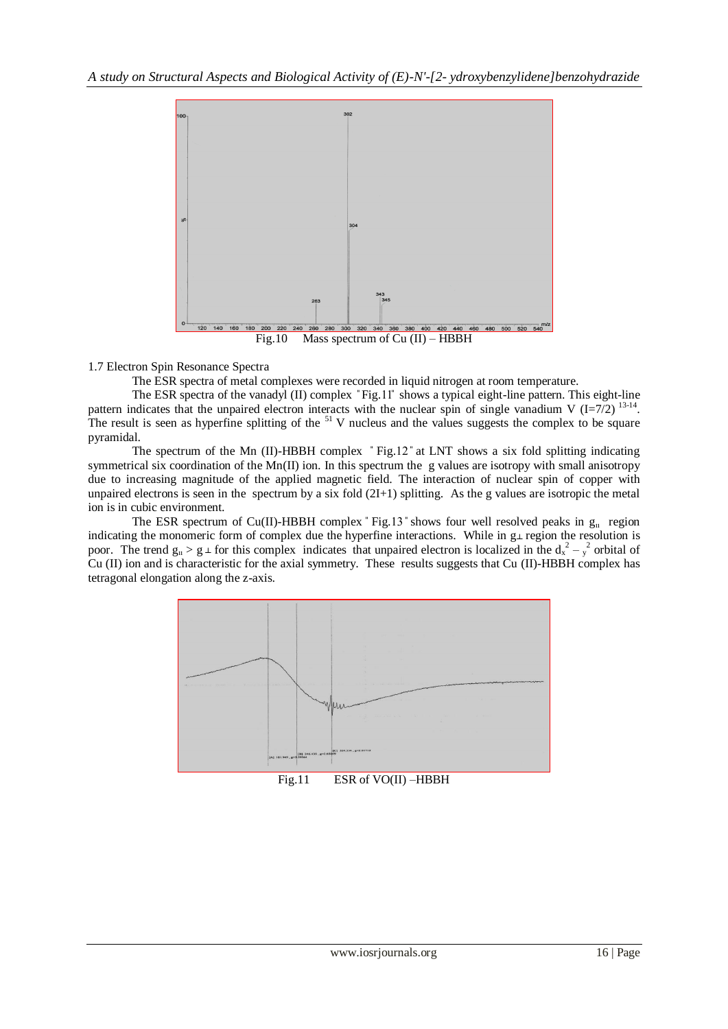

Fig.10 Mass spectrum of Cu (II) – HBBH

1.7 Electron Spin Resonance Spectra

The ESR spectra of metal complexes were recorded in liquid nitrogen at room temperature.

The ESR spectra of the vanadyl (II) complex "Fig.11" shows a typical eight-line pattern. This eight-line pattern indicates that the unpaired electron interacts with the nuclear spin of single vanadium V  $(I=7/2)$  <sup>13-14</sup>. The result is seen as hyperfine splitting of the  $51$  V nucleus and the values suggests the complex to be square pyramidal.

The spectrum of the Mn (II)-HBBH complex "Fig.12" at LNT shows a six fold splitting indicating symmetrical six coordination of the Mn(II) ion. In this spectrum the g values are isotropy with small anisotropy due to increasing magnitude of the applied magnetic field. The interaction of nuclear spin of copper with unpaired electrons is seen in the spectrum by a six fold (2I+1) splitting. As the g values are isotropic the metal ion is in cubic environment.

The ESR spectrum of Cu(II)-HBBH complex "Fig.13" shows four well resolved peaks in  $g_{\mu}$  region indicating the monomeric form of complex due the hyperfine interactions. While in  $g\bot$  region the resolution is poor. The trend  $g_{\text{II}} > g_{\perp}$  for this complex indicates that unpaired electron is localized in the  $d_{x}^{2} - \frac{2}{y}$  orbital of Cu (II) ion and is characteristic for the axial symmetry. These results suggests that Cu (II)-HBBH complex has tetragonal elongation along the z-axis.



www.iosrjournals.org 16 | Page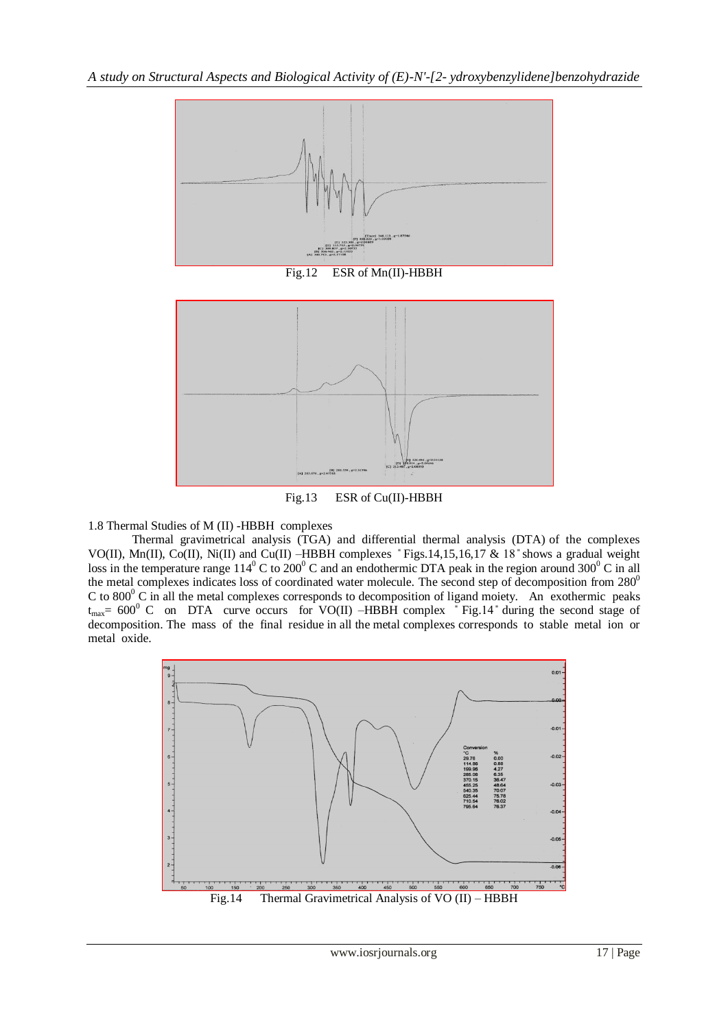

Fig.13 ESR of Cu(II)-HBBH

1.8 Thermal Studies of M (II) -HBBH complexes

Thermal gravimetrical analysis (TGA) and differential thermal analysis (DTA) of the complexes VO(II), Mn(II), Co(II), Ni(II) and Cu(II) –HBBH complexes ̎ Figs.14,15,16,17 & 18 ̎shows a gradual weight loss in the temperature range  $114^{\circ}$  C to  $200^{\circ}$  C and an endothermic DTA peak in the region around 300<sup>°</sup> C in all the metal complexes indicates loss of coordinated water molecule. The second step of decomposition from  $280^\circ$ C to  $800^{\circ}$  C in all the metal complexes corresponds to decomposition of ligand moiety. An exothermic peaks  $t_{\text{max}} = 600^{\circ}$  C on DTA curve occurs for VO(II) –HBBH complex  $\degree$  Fig.14  $\degree$  during the second stage of decomposition. The mass of the final residue in all the metal complexes corresponds to stable metal ion or metal oxide.

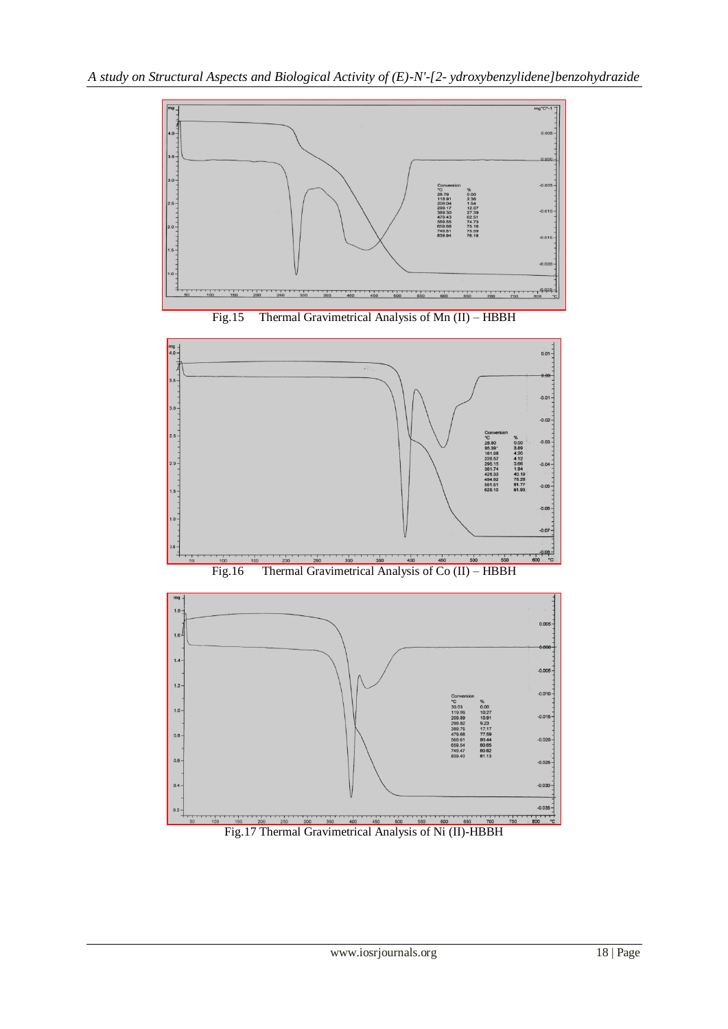







Fig.17 Thermal Gravimetrical Analysis of Ni (II)-HBBH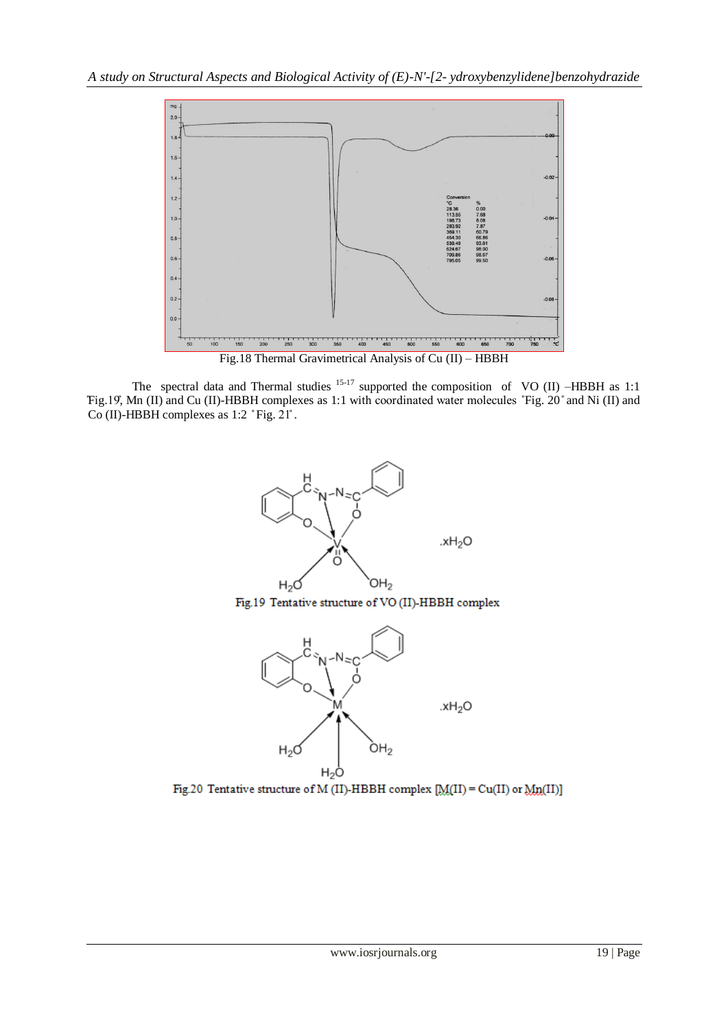

The spectral data and Thermal studies  $15-17$  supported the composition of VO (II) –HBBH as 1:1 Fig.19, Mn (II) and Cu (II)-HBBH complexes as 1:1 with coordinated water molecules "Fig. 20" and Ni (II) and Co (II)-HBBH complexes as 1:2 "Fig. 21".



Fig.20 Tentative structure of M (II)-HBBH complex  $[M(II) = Cu(II)$  or  $Mn(II)$ ]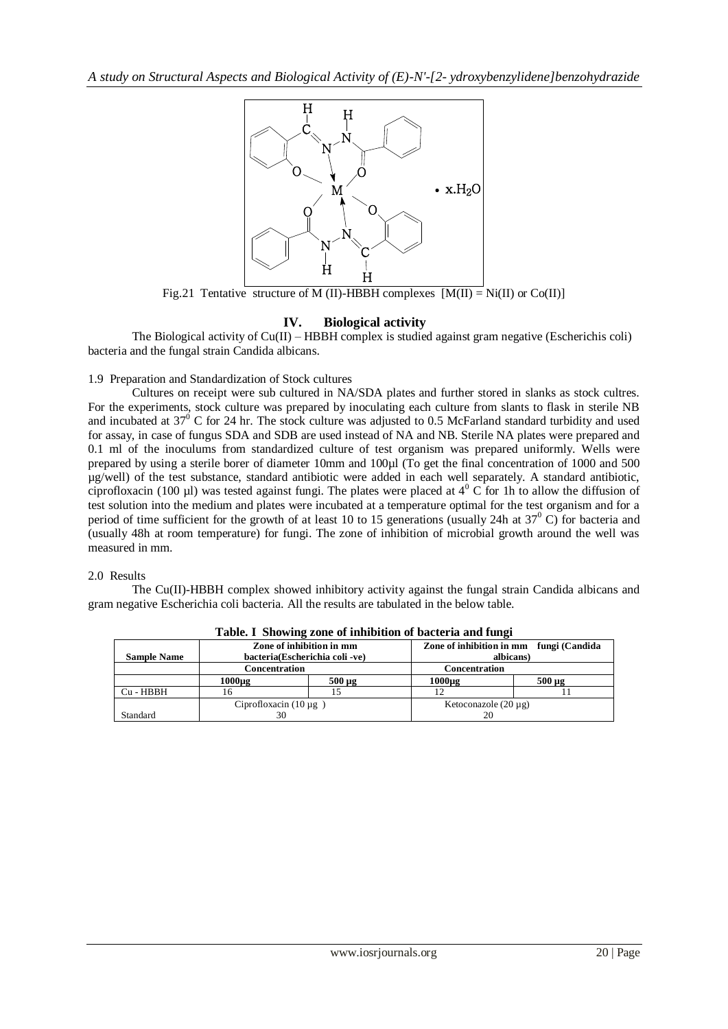

Fig.21 Tentative structure of M (II)-HBBH complexes  $[M(II) = Ni(II)$  or Co(II)]

## **IV. Biological activity**

The Biological activity of Cu(II) – HBBH complex is studied against gram negative (Escherichis coli) bacteria and the fungal strain Candida albicans.

## 1.9 Preparation and Standardization of Stock cultures

Cultures on receipt were sub cultured in NA/SDA plates and further stored in slanks as stock cultres. For the experiments, stock culture was prepared by inoculating each culture from slants to flask in sterile NB and incubated at  $37^{\circ}$  C for 24 hr. The stock culture was adjusted to 0.5 McFarland standard turbidity and used for assay, in case of fungus SDA and SDB are used instead of NA and NB. Sterile NA plates were prepared and 0.1 ml of the inoculums from standardized culture of test organism was prepared uniformly. Wells were prepared by using a sterile borer of diameter 10mm and 100µl (To get the final concentration of 1000 and 500 µg/well) of the test substance, standard antibiotic were added in each well separately. A standard antibiotic, ciprofloxacin (100 µl) was tested against fungi. The plates were placed at  $4^{\circ}$  C for 1h to allow the diffusion of test solution into the medium and plates were incubated at a temperature optimal for the test organism and for a period of time sufficient for the growth of at least 10 to 15 generations (usually 24h at  $37^{\circ}$  C) for bacteria and (usually 48h at room temperature) for fungi. The zone of inhibition of microbial growth around the well was measured in mm.

### 2.0 Results

The Cu(II)-HBBH complex showed inhibitory activity against the fungal strain Candida albicans and gram negative Escherichia coli bacteria. All the results are tabulated in the below table.

|                    | Zone of inhibition in mm       |             | Zone of inhibition in mm fungi (Candida |             |
|--------------------|--------------------------------|-------------|-----------------------------------------|-------------|
| <b>Sample Name</b> | bacteria(Escherichia coli -ve) |             | albicans)                               |             |
|                    | Concentration                  |             | <b>Concentration</b>                    |             |
|                    | 1000µg                         | $500 \mu g$ | $1000\mu$ g                             | $500 \mu g$ |
| Cu - HBBH          | n                              |             |                                         |             |
|                    | Ciprofloxacin $(10 \mu g)$     |             | Ketoconazole $(20 \mu g)$               |             |
| Standard           |                                |             |                                         |             |

**Table. I Showing zone of inhibition of bacteria and fungi**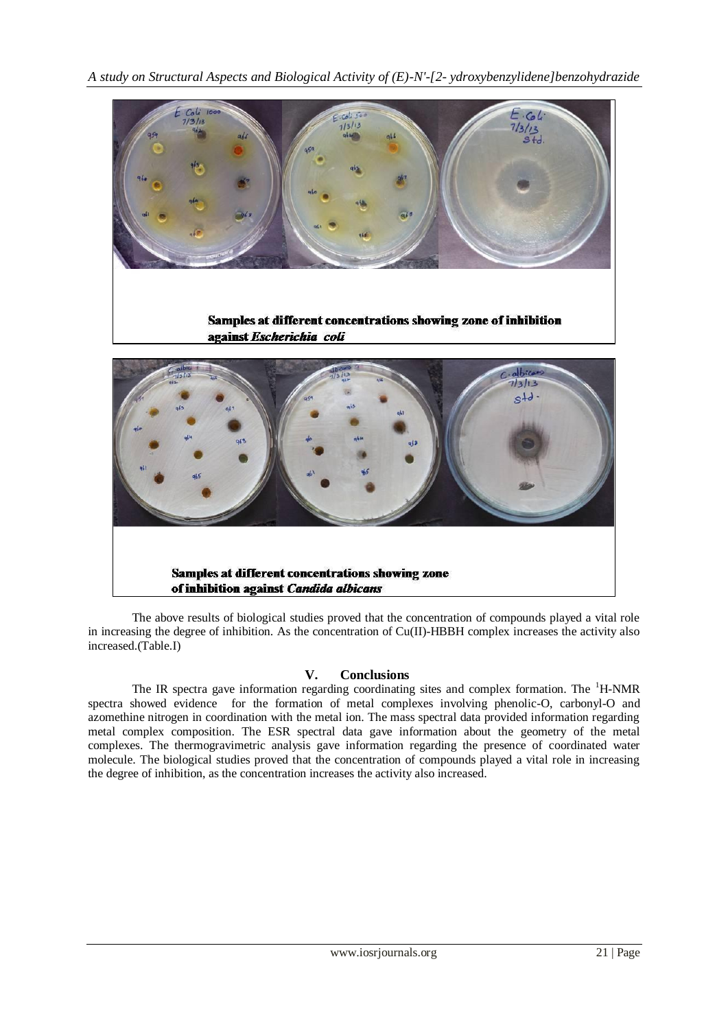*A study on Structural Aspects and Biological Activity of (E)-N'-[2- ydroxybenzylidene]benzohydrazide* 



Samples at different concentrations showing zone of inhibition against Escherichia coli



The above results of biological studies proved that the concentration of compounds played a vital role in increasing the degree of inhibition. As the concentration of Cu(II)-HBBH complex increases the activity also increased.(Table.I)

## **V. Conclusions**

The IR spectra gave information regarding coordinating sites and complex formation. The  ${}^{1}H\text{-NMR}$ spectra showed evidence for the formation of metal complexes involving phenolic-O, carbonyl-O and azomethine nitrogen in coordination with the metal ion. The mass spectral data provided information regarding metal complex composition. The ESR spectral data gave information about the geometry of the metal complexes. The thermogravimetric analysis gave information regarding the presence of coordinated water molecule. The biological studies proved that the concentration of compounds played a vital role in increasing the degree of inhibition, as the concentration increases the activity also increased.